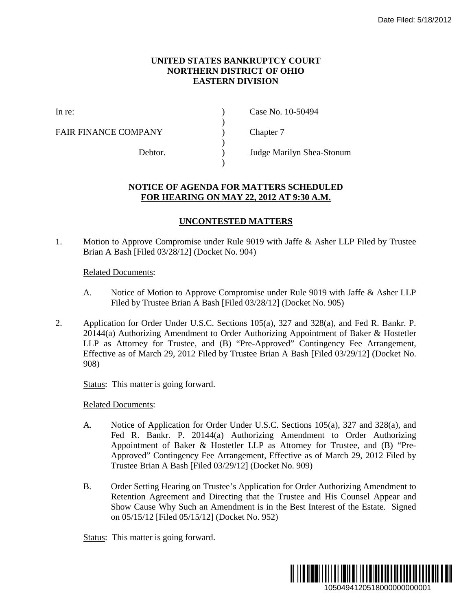## **UNITED STATES BANKRUPTCY COURT NORTHERN DISTRICT OF OHIO EASTERN DIVISION**

)

 $\lambda$ 

)

FAIR FINANCE COMPANY (and  $\Gamma$ ) Chapter 7

In re: (a) Case No. 10-50494

Debtor. ) Judge Marilyn Shea-Stonum

## **NOTICE OF AGENDA FOR MATTERS SCHEDULED FOR HEARING ON MAY 22, 2012 AT 9:30 A.M.**

## **UNCONTESTED MATTERS**

1. Motion to Approve Compromise under Rule 9019 with Jaffe & Asher LLP Filed by Trustee Brian A Bash [Filed 03/28/12] (Docket No. 904)

## Related Documents:

- A. Notice of Motion to Approve Compromise under Rule 9019 with Jaffe & Asher LLP Filed by Trustee Brian A Bash [Filed 03/28/12] (Docket No. 905)
- 2. Application for Order Under U.S.C. Sections 105(a), 327 and 328(a), and Fed R. Bankr. P. 20144(a) Authorizing Amendment to Order Authorizing Appointment of Baker & Hostetler LLP as Attorney for Trustee, and (B) "Pre-Approved" Contingency Fee Arrangement, Effective as of March 29, 2012 Filed by Trustee Brian A Bash [Filed 03/29/12] (Docket No. 908) Date Filed: 5/18/2012<br> **1.**<br> **1.**<br>
her LLP Filed by Trustee<br>
9 with Jaffe & Asher LLP<br>
905)<br>
(a), and Fed R. Bankr. P.<br>
enent of Baker & Hostetler<br>
gency Fee Arrangement,<br>
ed 03/29/12] (Docket No.<br>
5(a), 327 and 328(a), an

Status: This matter is going forward.

Related Documents:

- A. Notice of Application for Order Under U.S.C. Sections 105(a), 327 and 328(a), and Fed R. Bankr. P. 20144(a) Authorizing Amendment to Order Authorizing Appointment of Baker & Hostetler LLP as Attorney for Trustee, and (B) "Pre-Approved" Contingency Fee Arrangement, Effective as of March 29, 2012 Filed by Trustee Brian A Bash [Filed 03/29/12] (Docket No. 909)
- B. Order Setting Hearing on Trustee's Application for Order Authorizing Amendment to Retention Agreement and Directing that the Trustee and His Counsel Appear and Show Cause Why Such an Amendment is in the Best Interest of the Estate. Signed on 05/15/12 [Filed 05/15/12] (Docket No. 952)

Status: This matter is going forward.